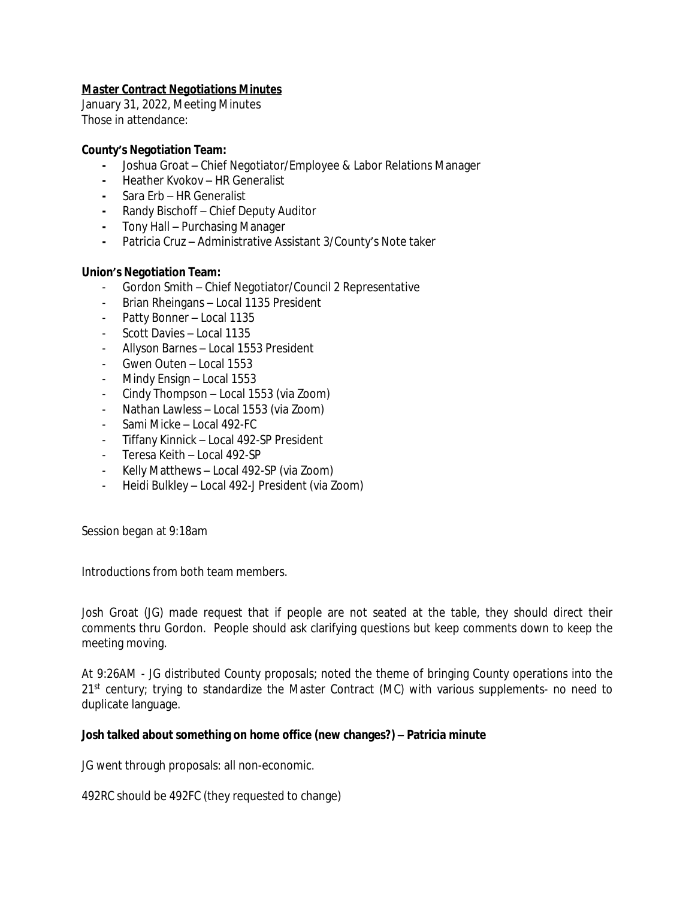## *Master Contract Negotiations Minutes*

January 31, 2022, Meeting Minutes Those in attendance:

### **County's Negotiation Team:**

- **-** Joshua Groat Chief Negotiator/Employee & Labor Relations Manager
- **-** Heather Kvokov HR Generalist
- **-** Sara Erb HR Generalist
- **-** Randy Bischoff Chief Deputy Auditor
- **-** Tony Hall Purchasing Manager
- **-** Patricia Cruz Administrative Assistant 3/County's Note taker

### **Union's Negotiation Team:**

- Gordon Smith Chief Negotiator/Council 2 Representative
- Brian Rheingans Local 1135 President
- Patty Bonner Local 1135
- Scott Davies Local 1135
- Allyson Barnes Local 1553 President
- Gwen Outen Local 1553
- Mindy Ensign Local 1553
- Cindy Thompson Local 1553 (via Zoom)
- Nathan Lawless Local 1553 (via Zoom)
- Sami Micke Local 492-FC
- Tiffany Kinnick Local 492-SP President
- Teresa Keith Local 492-SP
- Kelly Matthews Local 492-SP (via Zoom)
- Heidi Bulkley Local 492-J President (via Zoom)

Session began at 9:18am

Introductions from both team members.

Josh Groat (JG) made request that if people are not seated at the table, they should direct their comments thru Gordon. People should ask clarifying questions but keep comments down to keep the meeting moving.

At 9:26AM - JG distributed County proposals; noted the theme of bringing County operations into the 21<sup>st</sup> century; trying to standardize the Master Contract (MC) with various supplements- no need to duplicate language.

### **Josh talked about something on home office (new changes?) – Patricia minute**

JG went through proposals: all non-economic.

492RC should be 492FC (they requested to change)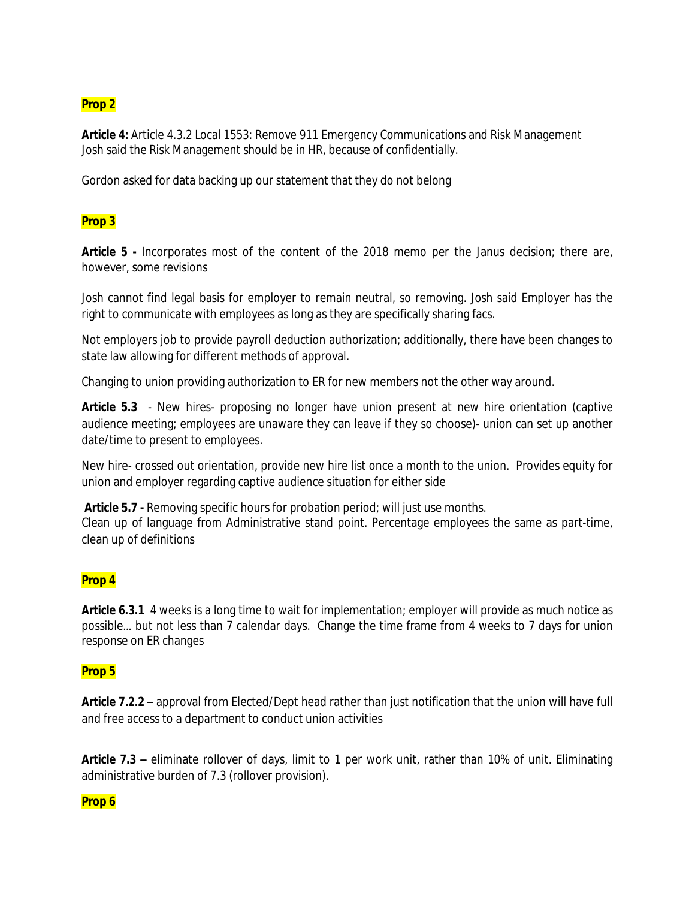### **Prop 2**

**Article 4:** Article 4.3.2 Local 1553: Remove 911 Emergency Communications and Risk Management Josh said the Risk Management should be in HR, because of confidentially.

Gordon asked for data backing up our statement that they do not belong

### **Prop 3**

**Article 5 -** Incorporates most of the content of the 2018 memo per the Janus decision; there are, however, some revisions

Josh cannot find legal basis for employer to remain neutral, so removing. Josh said Employer has the right to communicate with employees as long as they are specifically sharing facs.

Not employers job to provide payroll deduction authorization; additionally, there have been changes to state law allowing for different methods of approval.

Changing to union providing authorization to ER for new members not the other way around.

**Article 5.3** - New hires- proposing no longer have union present at new hire orientation (captive audience meeting; employees are unaware they can leave if they so choose)- union can set up another date/time to present to employees.

New hire- crossed out orientation, provide new hire list once a month to the union. Provides equity for union and employer regarding captive audience situation for either side

 **Article 5.7 -** Removing specific hours for probation period; will just use months. Clean up of language from Administrative stand point. Percentage employees the same as part-time, clean up of definitions

### **Prop 4**

**Article 6.3.1** 4 weeks is a long time to wait for implementation; employer will provide as much notice as possible… but not less than 7 calendar days. Change the time frame from 4 weeks to 7 days for union response on ER changes

### **Prop 5**

**Article 7.2.2** – approval from Elected/Dept head rather than just notification that the union will have full and free access to a department to conduct union activities

**Article 7.3 –** eliminate rollover of days, limit to 1 per work unit, rather than 10% of unit. Eliminating administrative burden of 7.3 (rollover provision).

#### **Prop 6**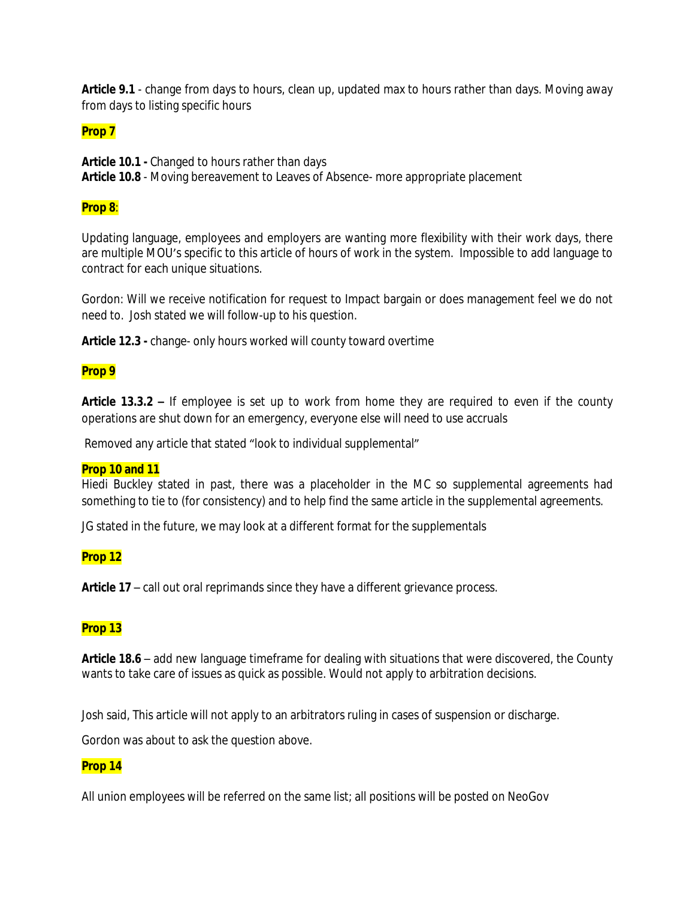**Article 9.1** - change from days to hours, clean up, updated max to hours rather than days. Moving away from days to listing specific hours

### **Prop 7**

**Article 10.1 -** Changed to hours rather than days

**Article 10.8** - Moving bereavement to Leaves of Absence- more appropriate placement

## **Prop 8**:

Updating language, employees and employers are wanting more flexibility with their work days, there are multiple MOU's specific to this article of hours of work in the system. Impossible to add language to contract for each unique situations.

Gordon: Will we receive notification for request to Impact bargain or does management feel we do not need to. Josh stated we will follow-up to his question.

**Article 12.3 -** change- only hours worked will county toward overtime

#### **Prop 9**

**Article 13.3.2 –** If employee is set up to work from home they are required to even if the county operations are shut down for an emergency, everyone else will need to use accruals

Removed any article that stated "look to individual supplemental"

## **Prop 10 and 11**

Hiedi Buckley stated in past, there was a placeholder in the MC so supplemental agreements had something to tie to (for consistency) and to help find the same article in the supplemental agreements.

JG stated in the future, we may look at a different format for the supplementals

### **Prop 12**

**Article 17** – call out oral reprimands since they have a different grievance process.

### **Prop 13**

**Article 18.6** – add new language timeframe for dealing with situations that were discovered, the County wants to take care of issues as quick as possible. Would not apply to arbitration decisions.

Josh said, This article will not apply to an arbitrators ruling in cases of suspension or discharge.

Gordon was about to ask the question above.

### **Prop 14**

All union employees will be referred on the same list; all positions will be posted on NeoGov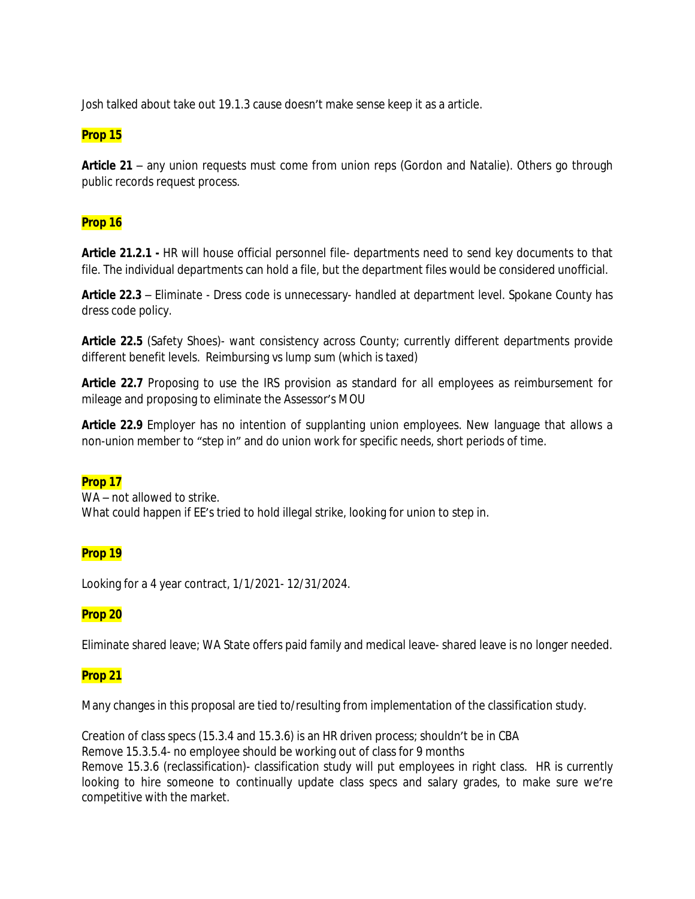Josh talked about take out 19.1.3 cause doesn't make sense keep it as a article.

## **Prop 15**

**Article 21** – any union requests must come from union reps (Gordon and Natalie). Others go through public records request process.

## **Prop 16**

**Article 21.2.1 -** HR will house official personnel file- departments need to send key documents to that file. The individual departments can hold a file, but the department files would be considered unofficial.

**Article 22.3** – Eliminate - Dress code is unnecessary- handled at department level. Spokane County has dress code policy.

**Article 22.5** (Safety Shoes)- want consistency across County; currently different departments provide different benefit levels. Reimbursing vs lump sum (which is taxed)

**Article 22.7** Proposing to use the IRS provision as standard for all employees as reimbursement for mileage and proposing to eliminate the Assessor's MOU

**Article 22.9** Employer has no intention of supplanting union employees. New language that allows a non-union member to "step in" and do union work for specific needs, short periods of time.

### **Prop 17**

WA – not allowed to strike. What could happen if EE's tried to hold illegal strike, looking for union to step in.

# **Prop 19**

Looking for a 4 year contract, 1/1/2021- 12/31/2024.

# **Prop 20**

Eliminate shared leave; WA State offers paid family and medical leave- shared leave is no longer needed.

# **Prop 21**

Many changes in this proposal are tied to/resulting from implementation of the classification study.

Creation of class specs (15.3.4 and 15.3.6) is an HR driven process; shouldn't be in CBA Remove 15.3.5.4- no employee should be working out of class for 9 months Remove 15.3.6 (reclassification)- classification study will put employees in right class. HR is currently looking to hire someone to continually update class specs and salary grades, to make sure we're competitive with the market.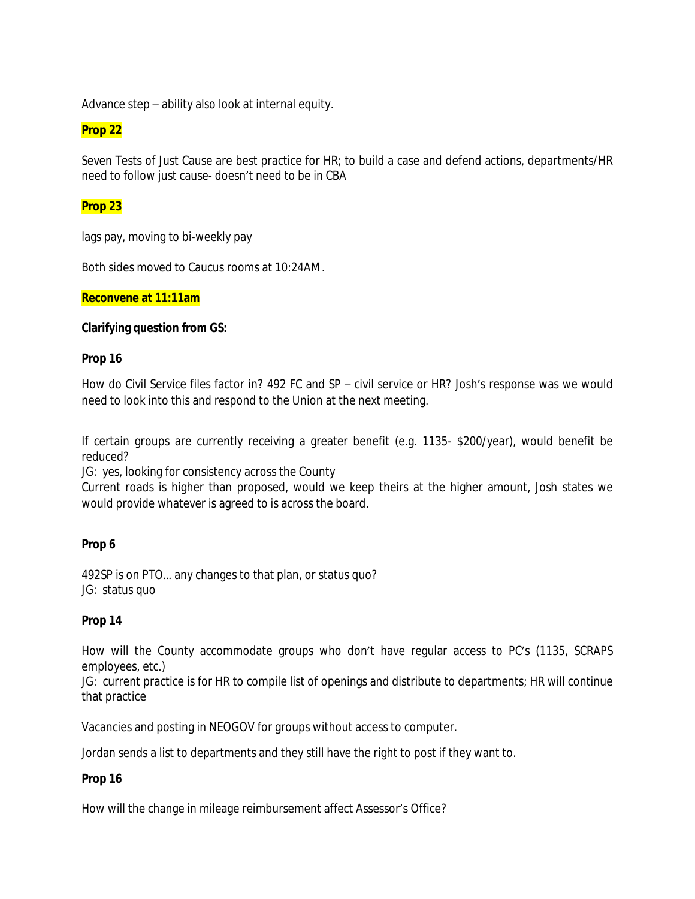Advance step – ability also look at internal equity.

## **Prop 22**

Seven Tests of Just Cause are best practice for HR; to build a case and defend actions, departments/HR need to follow just cause- doesn't need to be in CBA

# **Prop 23**

lags pay, moving to bi-weekly pay

Both sides moved to Caucus rooms at 10:24AM.

#### **Reconvene at 11:11am**

#### **Clarifying question from GS:**

#### **Prop 16**

How do Civil Service files factor in? 492 FC and SP – civil service or HR? Josh's response was we would need to look into this and respond to the Union at the next meeting.

If certain groups are currently receiving a greater benefit (e.g. 1135- \$200/year), would benefit be reduced?

JG: yes, looking for consistency across the County

Current roads is higher than proposed, would we keep theirs at the higher amount, Josh states we would provide whatever is agreed to is across the board.

### **Prop 6**

492SP is on PTO… any changes to that plan, or status quo? JG: status quo

### **Prop 14**

How will the County accommodate groups who don't have regular access to PC's (1135, SCRAPS employees, etc.)

JG: current practice is for HR to compile list of openings and distribute to departments; HR will continue that practice

Vacancies and posting in NEOGOV for groups without access to computer.

Jordan sends a list to departments and they still have the right to post if they want to.

### **Prop 16**

How will the change in mileage reimbursement affect Assessor's Office?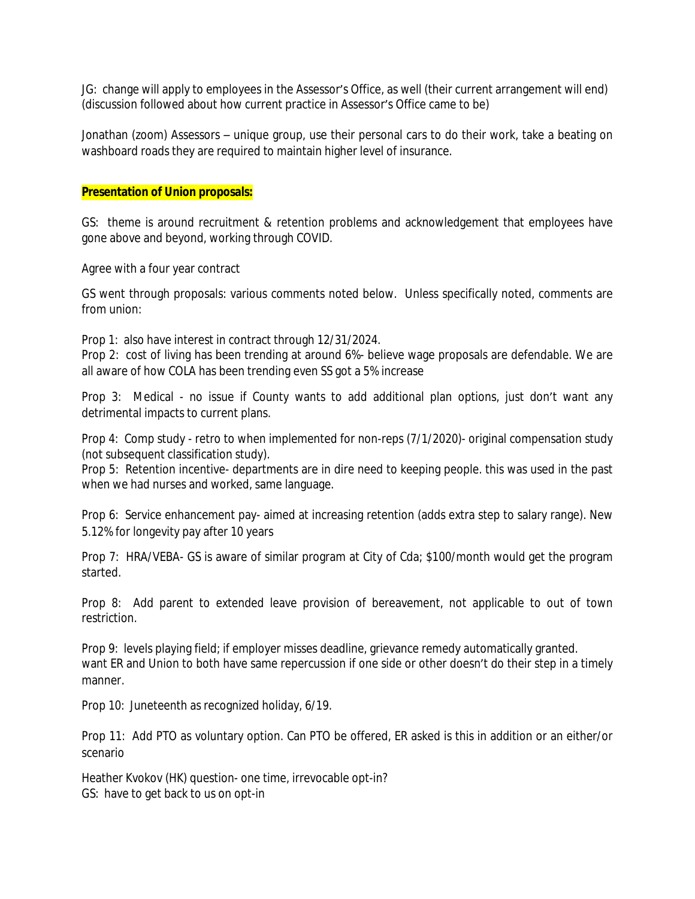JG: change will apply to employees in the Assessor's Office, as well (their current arrangement will end) (discussion followed about how current practice in Assessor's Office came to be)

Jonathan (zoom) Assessors – unique group, use their personal cars to do their work, take a beating on washboard roads they are required to maintain higher level of insurance.

#### **Presentation of Union proposals:**

GS: theme is around recruitment & retention problems and acknowledgement that employees have gone above and beyond, working through COVID.

Agree with a four year contract

GS went through proposals: various comments noted below. Unless specifically noted, comments are from union:

Prop 1: also have interest in contract through 12/31/2024.

Prop 2: cost of living has been trending at around 6%- believe wage proposals are defendable. We are all aware of how COLA has been trending even SS got a 5% increase

Prop 3: Medical - no issue if County wants to add additional plan options, just don't want any detrimental impacts to current plans.

Prop 4: Comp study - retro to when implemented for non-reps (7/1/2020)- original compensation study (not subsequent classification study).

Prop 5: Retention incentive- departments are in dire need to keeping people. this was used in the past when we had nurses and worked, same language.

Prop 6: Service enhancement pay- aimed at increasing retention (adds extra step to salary range). New 5.12% for longevity pay after 10 years

Prop 7: HRA/VEBA- GS is aware of similar program at City of Cda; \$100/month would get the program started.

Prop 8: Add parent to extended leave provision of bereavement, not applicable to out of town restriction.

Prop 9: levels playing field; if employer misses deadline, grievance remedy automatically granted. want ER and Union to both have same repercussion if one side or other doesn't do their step in a timely manner.

Prop 10: Juneteenth as recognized holiday, 6/19.

Prop 11: Add PTO as voluntary option. Can PTO be offered, ER asked is this in addition or an either/or scenario

Heather Kvokov (HK) question- one time, irrevocable opt-in? GS: have to get back to us on opt-in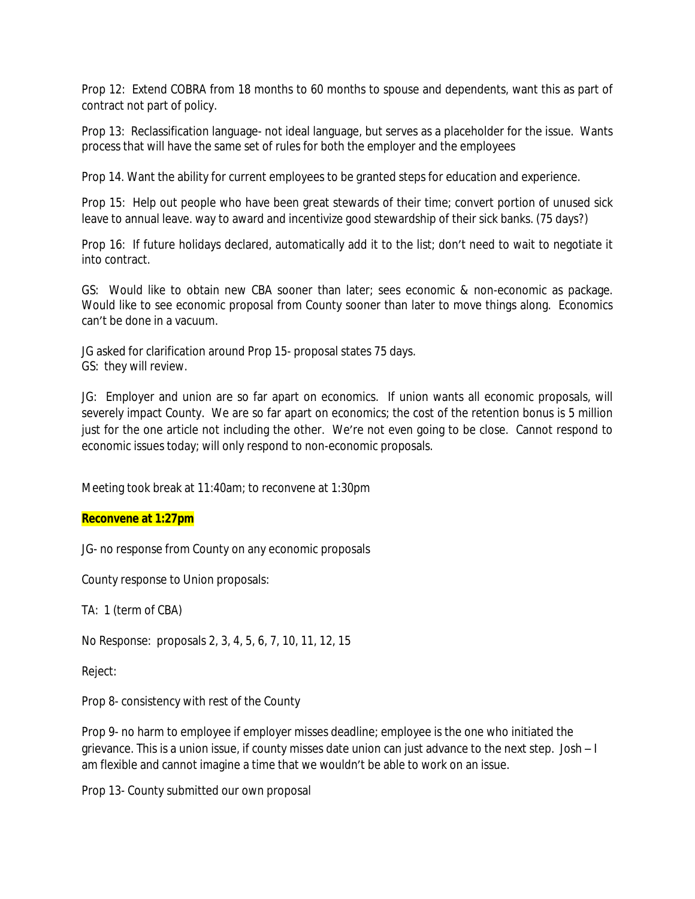Prop 12: Extend COBRA from 18 months to 60 months to spouse and dependents, want this as part of contract not part of policy.

Prop 13: Reclassification language- not ideal language, but serves as a placeholder for the issue. Wants process that will have the same set of rules for both the employer and the employees

Prop 14. Want the ability for current employees to be granted steps for education and experience.

Prop 15: Help out people who have been great stewards of their time; convert portion of unused sick leave to annual leave. way to award and incentivize good stewardship of their sick banks. (75 days?)

Prop 16: If future holidays declared, automatically add it to the list; don't need to wait to negotiate it into contract.

GS: Would like to obtain new CBA sooner than later; sees economic & non-economic as package. Would like to see economic proposal from County sooner than later to move things along. Economics can't be done in a vacuum.

JG asked for clarification around Prop 15- proposal states 75 days. GS: they will review.

JG: Employer and union are so far apart on economics. If union wants all economic proposals, will severely impact County. We are so far apart on economics; the cost of the retention bonus is 5 million just for the one article not including the other. We're not even going to be close. Cannot respond to economic issues today; will only respond to non-economic proposals.

Meeting took break at 11:40am; to reconvene at 1:30pm

#### **Reconvene at 1:27pm**

JG- no response from County on any economic proposals

County response to Union proposals:

TA: 1 (term of CBA)

No Response: proposals 2, 3, 4, 5, 6, 7, 10, 11, 12, 15

Reject:

Prop 8- consistency with rest of the County

Prop 9- no harm to employee if employer misses deadline; employee is the one who initiated the grievance. This is a union issue, if county misses date union can just advance to the next step. Josh – I am flexible and cannot imagine a time that we wouldn't be able to work on an issue.

Prop 13- County submitted our own proposal